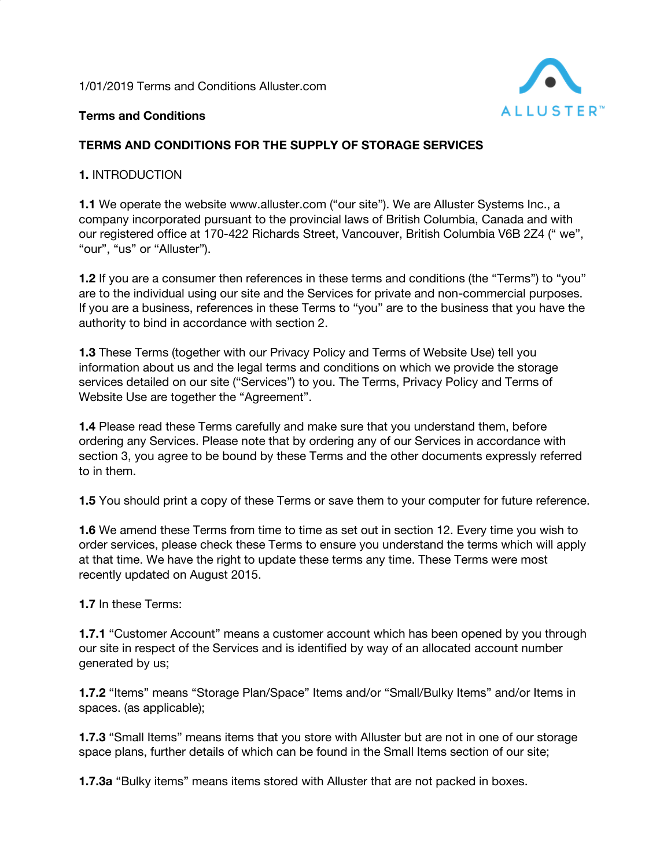1/01/2019 Terms and Conditions Alluster.com



## **Terms and Conditions**

## **TERMS AND CONDITIONS FOR THE SUPPLY OF STORAGE SERVICES**

### **1.** INTRODUCTION

**1.1** We operate the website www.alluster.com ("our site"). We are Alluster Systems Inc., a company incorporated pursuant to the provincial laws of British Columbia, Canada and with our registered office at 170-422 Richards Street, Vancouver, British Columbia V6B 2Z4 (" we", "our", "us" or "Alluster").

**1.2** If you are a consumer then references in these terms and conditions (the "Terms") to "you" are to the individual using our site and the Services for private and non-commercial purposes. If you are a business, references in these Terms to "you" are to the business that you have the authority to bind in accordance with section 2.

**1.3** These Terms (together with our Privacy Policy and Terms of Website Use) tell you information about us and the legal terms and conditions on which we provide the storage services detailed on our site ("Services") to you. The Terms, Privacy Policy and Terms of Website Use are together the "Agreement".

**1.4** Please read these Terms carefully and make sure that you understand them, before ordering any Services. Please note that by ordering any of our Services in accordance with section 3, you agree to be bound by these Terms and the other documents expressly referred to in them.

**1.5** You should print a copy of these Terms or save them to your computer for future reference.

**1.6** We amend these Terms from time to time as set out in section 12. Every time you wish to order services, please check these Terms to ensure you understand the terms which will apply at that time. We have the right to update these terms any time. These Terms were most recently updated on August 2015.

### **1.7** In these Terms:

**1.7.1** "Customer Account" means a customer account which has been opened by you through our site in respect of the Services and is identified by way of an allocated account number generated by us;

**1.7.2** "Items" means "Storage Plan/Space" Items and/or "Small/Bulky Items" and/or Items in spaces. (as applicable);

**1.7.3** "Small Items" means items that you store with Alluster but are not in one of our storage space plans, further details of which can be found in the Small Items section of our site;

**1.7.3a** "Bulky items" means items stored with Alluster that are not packed in boxes.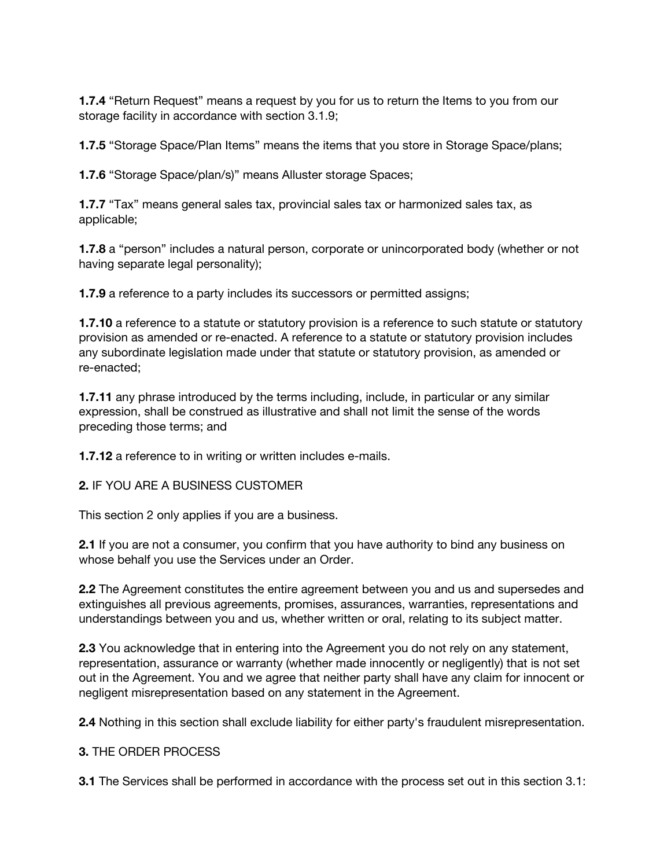**1.7.4** "Return Request" means a request by you for us to return the Items to you from our storage facility in accordance with section 3.1.9;

**1.7.5** "Storage Space/Plan Items" means the items that you store in Storage Space/plans;

**1.7.6** "Storage Space/plan/s)" means Alluster storage Spaces;

**1.7.7** "Tax" means general sales tax, provincial sales tax or harmonized sales tax, as applicable;

**1.7.8** a "person" includes a natural person, corporate or unincorporated body (whether or not having separate legal personality);

**1.7.9** a reference to a party includes its successors or permitted assigns;

**1.7.10** a reference to a statute or statutory provision is a reference to such statute or statutory provision as amended or re-enacted. A reference to a statute or statutory provision includes any subordinate legislation made under that statute or statutory provision, as amended or re-enacted;

**1.7.11** any phrase introduced by the terms including, include, in particular or any similar expression, shall be construed as illustrative and shall not limit the sense of the words preceding those terms; and

**1.7.12** a reference to in writing or written includes e-mails.

**2.** IF YOU ARE A BUSINESS CUSTOMER

This section 2 only applies if you are a business.

**2.1** If you are not a consumer, you confirm that you have authority to bind any business on whose behalf you use the Services under an Order.

**2.2** The Agreement constitutes the entire agreement between you and us and supersedes and extinguishes all previous agreements, promises, assurances, warranties, representations and understandings between you and us, whether written or oral, relating to its subject matter.

**2.3** You acknowledge that in entering into the Agreement you do not rely on any statement, representation, assurance or warranty (whether made innocently or negligently) that is not set out in the Agreement. You and we agree that neither party shall have any claim for innocent or negligent misrepresentation based on any statement in the Agreement.

**2.4** Nothing in this section shall exclude liability for either party's fraudulent misrepresentation.

### **3.** THE ORDER PROCESS

**3.1** The Services shall be performed in accordance with the process set out in this section 3.1: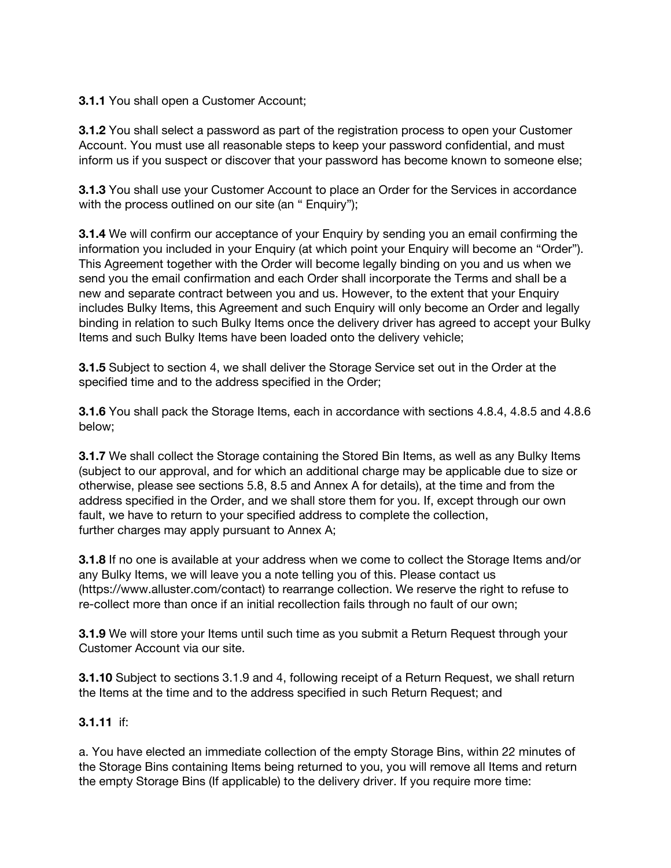### **3.1.1** You shall open a Customer Account;

**3.1.2** You shall select a password as part of the registration process to open your Customer Account. You must use all reasonable steps to keep your password confidential, and must inform us if you suspect or discover that your password has become known to someone else;

**3.1.3** You shall use your Customer Account to place an Order for the Services in accordance with the process outlined on our site (an " Enquiry");

**3.1.4** We will confirm our acceptance of your Enquiry by sending you an email confirming the information you included in your Enquiry (at which point your Enquiry will become an "Order"). This Agreement together with the Order will become legally binding on you and us when we send you the email confirmation and each Order shall incorporate the Terms and shall be a new and separate contract between you and us. However, to the extent that your Enquiry includes Bulky Items, this Agreement and such Enquiry will only become an Order and legally binding in relation to such Bulky Items once the delivery driver has agreed to accept your Bulky Items and such Bulky Items have been loaded onto the delivery vehicle;

**3.1.5** Subject to section 4, we shall deliver the Storage Service set out in the Order at the specified time and to the address specified in the Order;

**3.1.6** You shall pack the Storage Items, each in accordance with sections 4.8.4, 4.8.5 and 4.8.6 below;

**3.1.7** We shall collect the Storage containing the Stored Bin Items, as well as any Bulky Items (subject to our approval, and for which an additional charge may be applicable due to size or otherwise, please see sections 5.8, 8.5 and Annex A for details), at the time and from the address specified in the Order, and we shall store them for you. If, except through our own fault, we have to return to your specified address to complete the collection, further charges may apply pursuant to Annex A;

**3.1.8** If no one is available at your address when we come to collect the Storage Items and/or any Bulky Items, we will leave you a note telling you of this. Please contact us (https://www.alluster.com/contact) to rearrange collection. We reserve the right to refuse to re-collect more than once if an initial recollection fails through no fault of our own;

**3.1.9** We will store your Items until such time as you submit a Return Request through your Customer Account via our site.

**3.1.10** Subject to sections 3.1.9 and 4, following receipt of a Return Request, we shall return the Items at the time and to the address specified in such Return Request; and

### **3.1.11** if:

a. You have elected an immediate collection of the empty Storage Bins, within 22 minutes of the Storage Bins containing Items being returned to you, you will remove all Items and return the empty Storage Bins (If applicable) to the delivery driver. If you require more time: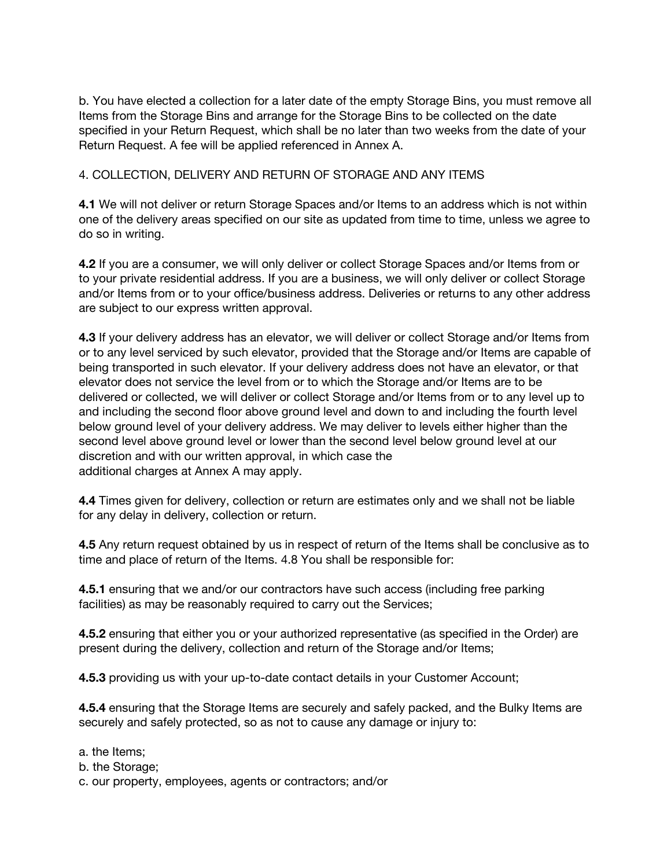b. You have elected a collection for a later date of the empty Storage Bins, you must remove all Items from the Storage Bins and arrange for the Storage Bins to be collected on the date specified in your Return Request, which shall be no later than two weeks from the date of your Return Request. A fee will be applied referenced in Annex A.

## 4. COLLECTION, DELIVERY AND RETURN OF STORAGE AND ANY ITEMS

**4.1** We will not deliver or return Storage Spaces and/or Items to an address which is not within one of the delivery areas specified on our site as updated from time to time, unless we agree to do so in writing.

**4.2** If you are a consumer, we will only deliver or collect Storage Spaces and/or Items from or to your private residential address. If you are a business, we will only deliver or collect Storage and/or Items from or to your office/business address. Deliveries or returns to any other address are subject to our express written approval.

**4.3** If your delivery address has an elevator, we will deliver or collect Storage and/or Items from or to any level serviced by such elevator, provided that the Storage and/or Items are capable of being transported in such elevator. If your delivery address does not have an elevator, or that elevator does not service the level from or to which the Storage and/or Items are to be delivered or collected, we will deliver or collect Storage and/or Items from or to any level up to and including the second floor above ground level and down to and including the fourth level below ground level of your delivery address. We may deliver to levels either higher than the second level above ground level or lower than the second level below ground level at our discretion and with our written approval, in which case the additional charges at Annex A may apply.

**4.4** Times given for delivery, collection or return are estimates only and we shall not be liable for any delay in delivery, collection or return.

**4.5** Any return request obtained by us in respect of return of the Items shall be conclusive as to time and place of return of the Items. 4.8 You shall be responsible for:

**4.5.1** ensuring that we and/or our contractors have such access (including free parking facilities) as may be reasonably required to carry out the Services;

**4.5.2** ensuring that either you or your authorized representative (as specified in the Order) are present during the delivery, collection and return of the Storage and/or Items;

**4.5.3** providing us with your up-to-date contact details in your Customer Account;

**4.5.4** ensuring that the Storage Items are securely and safely packed, and the Bulky Items are securely and safely protected, so as not to cause any damage or injury to:

- a. the Items;
- b. the Storage;
- c. our property, employees, agents or contractors; and/or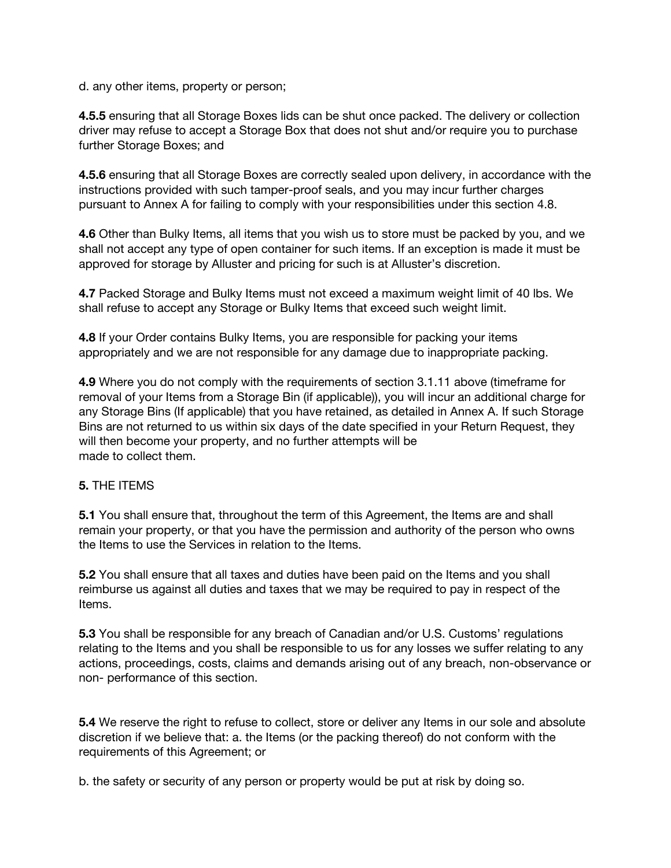d. any other items, property or person;

**4.5.5** ensuring that all Storage Boxes lids can be shut once packed. The delivery or collection driver may refuse to accept a Storage Box that does not shut and/or require you to purchase further Storage Boxes; and

**4.5.6** ensuring that all Storage Boxes are correctly sealed upon delivery, in accordance with the instructions provided with such tamper-proof seals, and you may incur further charges pursuant to Annex A for failing to comply with your responsibilities under this section 4.8.

**4.6** Other than Bulky Items, all items that you wish us to store must be packed by you, and we shall not accept any type of open container for such items. If an exception is made it must be approved for storage by Alluster and pricing for such is at Alluster's discretion.

**4.7** Packed Storage and Bulky Items must not exceed a maximum weight limit of 40 lbs. We shall refuse to accept any Storage or Bulky Items that exceed such weight limit.

**4.8** If your Order contains Bulky Items, you are responsible for packing your items appropriately and we are not responsible for any damage due to inappropriate packing.

**4.9** Where you do not comply with the requirements of section 3.1.11 above (timeframe for removal of your Items from a Storage Bin (if applicable)), you will incur an additional charge for any Storage Bins (If applicable) that you have retained, as detailed in Annex A. If such Storage Bins are not returned to us within six days of the date specified in your Return Request, they will then become your property, and no further attempts will be made to collect them.

### **5.** THE ITEMS

**5.1** You shall ensure that, throughout the term of this Agreement, the Items are and shall remain your property, or that you have the permission and authority of the person who owns the Items to use the Services in relation to the Items.

**5.2** You shall ensure that all taxes and duties have been paid on the Items and you shall reimburse us against all duties and taxes that we may be required to pay in respect of the Items.

**5.3** You shall be responsible for any breach of Canadian and/or U.S. Customs' regulations relating to the Items and you shall be responsible to us for any losses we suffer relating to any actions, proceedings, costs, claims and demands arising out of any breach, non-observance or non- performance of this section.

**5.4** We reserve the right to refuse to collect, store or deliver any Items in our sole and absolute discretion if we believe that: a. the Items (or the packing thereof) do not conform with the requirements of this Agreement; or

b. the safety or security of any person or property would be put at risk by doing so.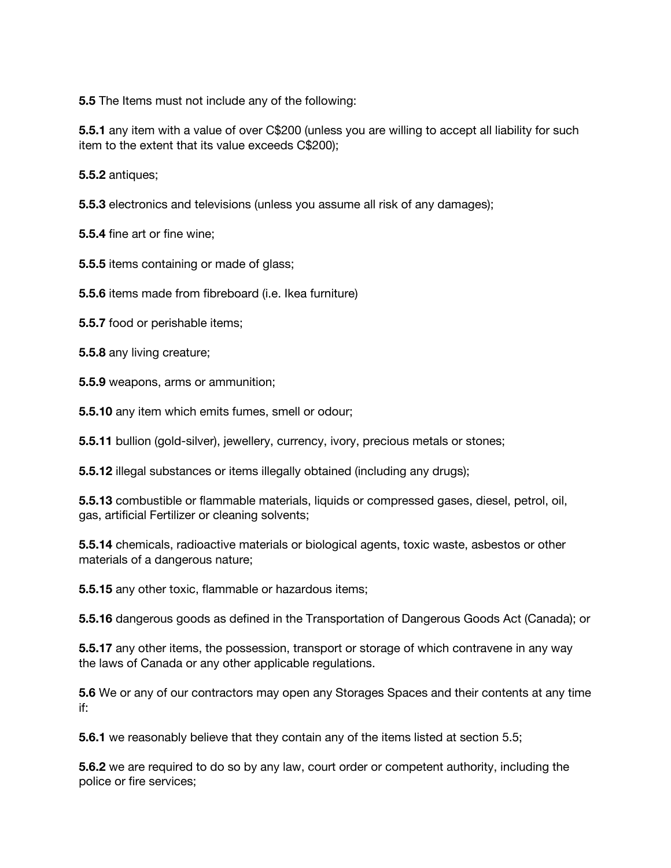**5.5** The Items must not include any of the following:

**5.5.1** any item with a value of over C\$200 (unless you are willing to accept all liability for such item to the extent that its value exceeds C\$200);

**5.5.2** antiques;

**5.5.3** electronics and televisions (unless you assume all risk of any damages);

**5.5.4** fine art or fine wine;

**5.5.5** items containing or made of glass;

**5.5.6** items made from fibreboard (i.e. Ikea furniture)

**5.5.7** food or perishable items;

**5.5.8** any living creature;

**5.5.9** weapons, arms or ammunition;

**5.5.10** any item which emits fumes, smell or odour;

**5.5.11** bullion (gold-silver), jewellery, currency, ivory, precious metals or stones;

**5.5.12** illegal substances or items illegally obtained (including any drugs);

**5.5.13** combustible or flammable materials, liquids or compressed gases, diesel, petrol, oil, gas, artificial Fertilizer or cleaning solvents;

**5.5.14** chemicals, radioactive materials or biological agents, toxic waste, asbestos or other materials of a dangerous nature;

**5.5.15** any other toxic, flammable or hazardous items;

**5.5.16** dangerous goods as defined in the Transportation of Dangerous Goods Act (Canada); or

**5.5.17** any other items, the possession, transport or storage of which contravene in any way the laws of Canada or any other applicable regulations.

**5.6** We or any of our contractors may open any Storages Spaces and their contents at any time if:

**5.6.1** we reasonably believe that they contain any of the items listed at section 5.5;

**5.6.2** we are required to do so by any law, court order or competent authority, including the police or fire services;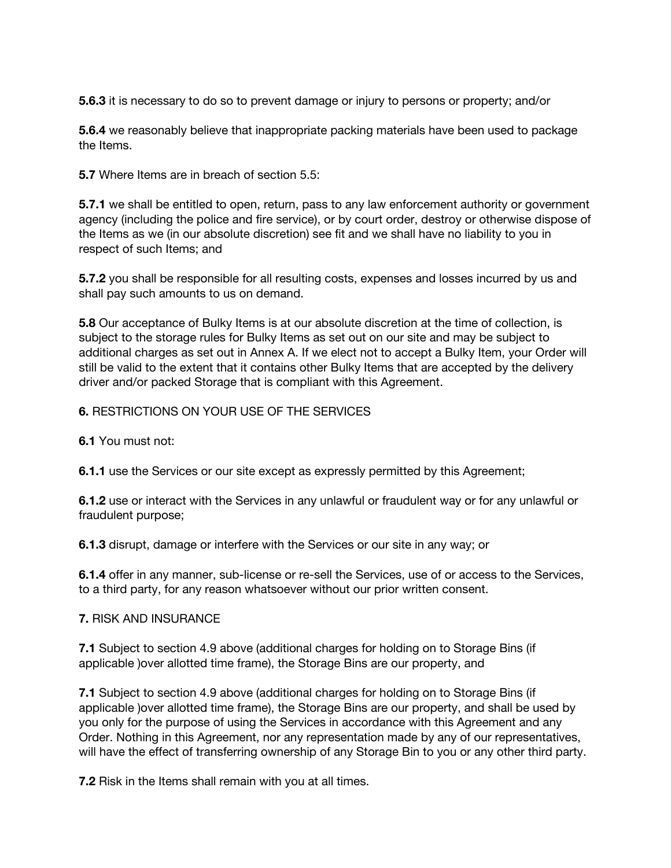**5.6.3** it is necessary to do so to prevent damage or injury to persons or property; and/or

**5.6.4** we reasonably believe that inappropriate packing materials have been used to package the Items.

**5.7** Where Items are in breach of section 5.5:

**5.7.1** we shall be entitled to open, return, pass to any law enforcement authority or government agency (including the police and fire service), or by court order, destroy or otherwise dispose of the Items as we (in our absolute discretion) see fit and we shall have no liability to you in respect of such Items; and

**5.7.2** you shall be responsible for all resulting costs, expenses and losses incurred by us and shall pay such amounts to us on demand.

**5.8** Our acceptance of Bulky Items is at our absolute discretion at the time of collection, is subject to the storage rules for Bulky Items as set out on our site and may be subject to additional charges as set out in Annex A. If we elect not to accept a Bulky Item, your Order will still be valid to the extent that it contains other Bulky Items that are accepted by the delivery driver and/or packed Storage that is compliant with this Agreement.

#### **6.** RESTRICTIONS ON YOUR USE OF THE SERVICES

**6.1** You must not:

**6.1.1** use the Services or our site except as expressly permitted by this Agreement;

**6.1.2** use or interact with the Services in any unlawful or fraudulent way or for any unlawful or fraudulent purpose;

**6.1.3** disrupt, damage or interfere with the Services or our site in any way; or

**6.1.4** offer in any manner, sub-license or re-sell the Services, use of or access to the Services, to a third party, for any reason whatsoever without our prior written consent.

#### **7.** RISK AND INSURANCE

**7.1** Subject to section 4.9 above (additional charges for holding on to Storage Bins (if applicable )over allotted time frame), the Storage Bins are our property, and

**7.1** Subject to section 4.9 above (additional charges for holding on to Storage Bins (if applicable )over allotted time frame), the Storage Bins are our property, and shall be used by you only for the purpose of using the Services in accordance with this Agreement and any Order. Nothing in this Agreement, nor any representation made by any of our representatives, will have the effect of transferring ownership of any Storage Bin to you or any other third party.

**7.2** Risk in the Items shall remain with you at all times.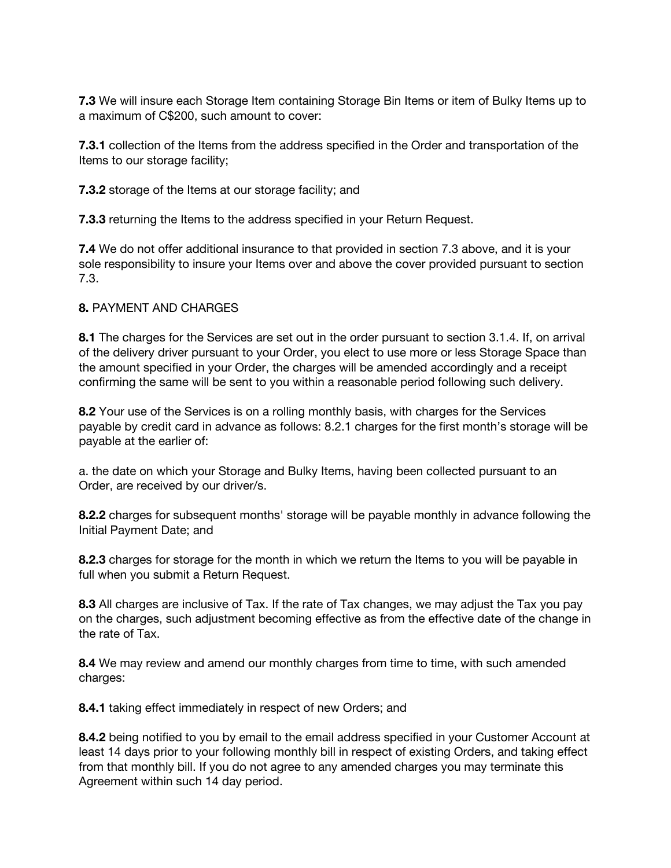**7.3** We will insure each Storage Item containing Storage Bin Items or item of Bulky Items up to a maximum of C\$200, such amount to cover:

**7.3.1** collection of the Items from the address specified in the Order and transportation of the Items to our storage facility;

**7.3.2** storage of the Items at our storage facility; and

**7.3.3** returning the Items to the address specified in your Return Request.

**7.4** We do not offer additional insurance to that provided in section 7.3 above, and it is your sole responsibility to insure your Items over and above the cover provided pursuant to section 7.3.

### **8.** PAYMENT AND CHARGES

**8.1** The charges for the Services are set out in the order pursuant to section 3.1.4. If, on arrival of the delivery driver pursuant to your Order, you elect to use more or less Storage Space than the amount specified in your Order, the charges will be amended accordingly and a receipt confirming the same will be sent to you within a reasonable period following such delivery.

**8.2** Your use of the Services is on a rolling monthly basis, with charges for the Services payable by credit card in advance as follows: 8.2.1 charges for the first month's storage will be payable at the earlier of:

a. the date on which your Storage and Bulky Items, having been collected pursuant to an Order, are received by our driver/s.

**8.2.2** charges for subsequent months' storage will be payable monthly in advance following the Initial Payment Date; and

**8.2.3** charges for storage for the month in which we return the Items to you will be payable in full when you submit a Return Request.

**8.3** All charges are inclusive of Tax. If the rate of Tax changes, we may adjust the Tax you pay on the charges, such adjustment becoming effective as from the effective date of the change in the rate of Tax.

**8.4** We may review and amend our monthly charges from time to time, with such amended charges:

**8.4.1** taking effect immediately in respect of new Orders; and

**8.4.2** being notified to you by email to the email address specified in your Customer Account at least 14 days prior to your following monthly bill in respect of existing Orders, and taking effect from that monthly bill. If you do not agree to any amended charges you may terminate this Agreement within such 14 day period.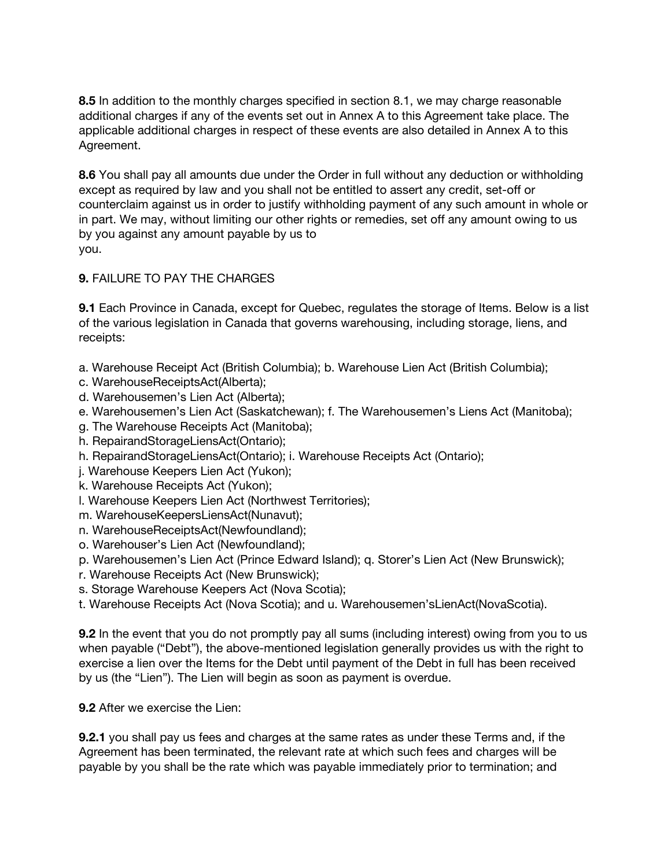**8.5** In addition to the monthly charges specified in section 8.1, we may charge reasonable additional charges if any of the events set out in Annex A to this Agreement take place. The applicable additional charges in respect of these events are also detailed in Annex A to this Agreement.

**8.6** You shall pay all amounts due under the Order in full without any deduction or withholding except as required by law and you shall not be entitled to assert any credit, set-off or counterclaim against us in order to justify withholding payment of any such amount in whole or in part. We may, without limiting our other rights or remedies, set off any amount owing to us by you against any amount payable by us to you.

# **9.** FAILURE TO PAY THE CHARGES

**9.1** Each Province in Canada, except for Quebec, regulates the storage of Items. Below is a list of the various legislation in Canada that governs warehousing, including storage, liens, and receipts:

a. Warehouse Receipt Act (British Columbia); b. Warehouse Lien Act (British Columbia);

- c. WarehouseReceiptsAct(Alberta);
- d. Warehousemen's Lien Act (Alberta);
- e. Warehousemen's Lien Act (Saskatchewan); f. The Warehousemen's Liens Act (Manitoba);
- g. The Warehouse Receipts Act (Manitoba);
- h. RepairandStorageLiensAct(Ontario);
- h. RepairandStorageLiensAct(Ontario); i. Warehouse Receipts Act (Ontario);
- j. Warehouse Keepers Lien Act (Yukon);
- k. Warehouse Receipts Act (Yukon);
- l. Warehouse Keepers Lien Act (Northwest Territories);
- m. WarehouseKeepersLiensAct(Nunavut);
- n. WarehouseReceiptsAct(Newfoundland);
- o. Warehouser's Lien Act (Newfoundland);
- p. Warehousemen's Lien Act (Prince Edward Island); q. Storer's Lien Act (New Brunswick);
- r. Warehouse Receipts Act (New Brunswick);
- s. Storage Warehouse Keepers Act (Nova Scotia);
- t. Warehouse Receipts Act (Nova Scotia); and u. Warehousemen'sLienAct(NovaScotia).

**9.2** In the event that you do not promptly pay all sums (including interest) owing from you to us when payable ("Debt"), the above-mentioned legislation generally provides us with the right to exercise a lien over the Items for the Debt until payment of the Debt in full has been received by us (the "Lien"). The Lien will begin as soon as payment is overdue.

**9.2** After we exercise the Lien:

**9.2.1** you shall pay us fees and charges at the same rates as under these Terms and, if the Agreement has been terminated, the relevant rate at which such fees and charges will be payable by you shall be the rate which was payable immediately prior to termination; and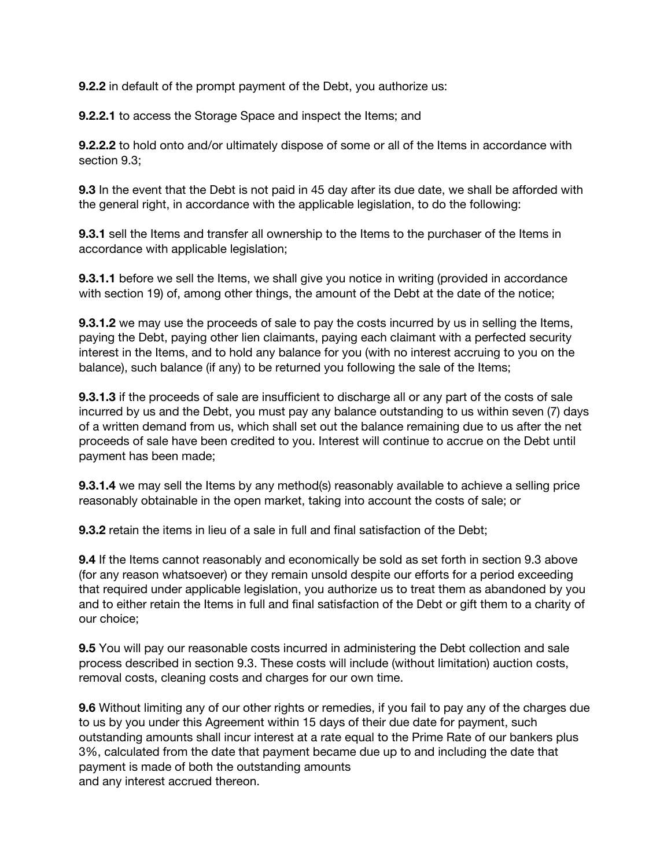**9.2.2** in default of the prompt payment of the Debt, you authorize us:

**9.2.2.1** to access the Storage Space and inspect the Items; and

**9.2.2.2** to hold onto and/or ultimately dispose of some or all of the Items in accordance with section 9.3;

**9.3** In the event that the Debt is not paid in 45 day after its due date, we shall be afforded with the general right, in accordance with the applicable legislation, to do the following:

**9.3.1** sell the Items and transfer all ownership to the Items to the purchaser of the Items in accordance with applicable legislation;

**9.3.1.1** before we sell the Items, we shall give you notice in writing (provided in accordance with section 19) of, among other things, the amount of the Debt at the date of the notice;

**9.3.1.2** we may use the proceeds of sale to pay the costs incurred by us in selling the Items, paying the Debt, paying other lien claimants, paying each claimant with a perfected security interest in the Items, and to hold any balance for you (with no interest accruing to you on the balance), such balance (if any) to be returned you following the sale of the Items;

**9.3.1.3** if the proceeds of sale are insufficient to discharge all or any part of the costs of sale incurred by us and the Debt, you must pay any balance outstanding to us within seven (7) days of a written demand from us, which shall set out the balance remaining due to us after the net proceeds of sale have been credited to you. Interest will continue to accrue on the Debt until payment has been made;

**9.3.1.4** we may sell the Items by any method(s) reasonably available to achieve a selling price reasonably obtainable in the open market, taking into account the costs of sale; or

**9.3.2** retain the items in lieu of a sale in full and final satisfaction of the Debt;

**9.4** If the Items cannot reasonably and economically be sold as set forth in section 9.3 above (for any reason whatsoever) or they remain unsold despite our efforts for a period exceeding that required under applicable legislation, you authorize us to treat them as abandoned by you and to either retain the Items in full and final satisfaction of the Debt or gift them to a charity of our choice;

**9.5** You will pay our reasonable costs incurred in administering the Debt collection and sale process described in section 9.3. These costs will include (without limitation) auction costs, removal costs, cleaning costs and charges for our own time.

**9.6** Without limiting any of our other rights or remedies, if you fail to pay any of the charges due to us by you under this Agreement within 15 days of their due date for payment, such outstanding amounts shall incur interest at a rate equal to the Prime Rate of our bankers plus 3%, calculated from the date that payment became due up to and including the date that payment is made of both the outstanding amounts and any interest accrued thereon.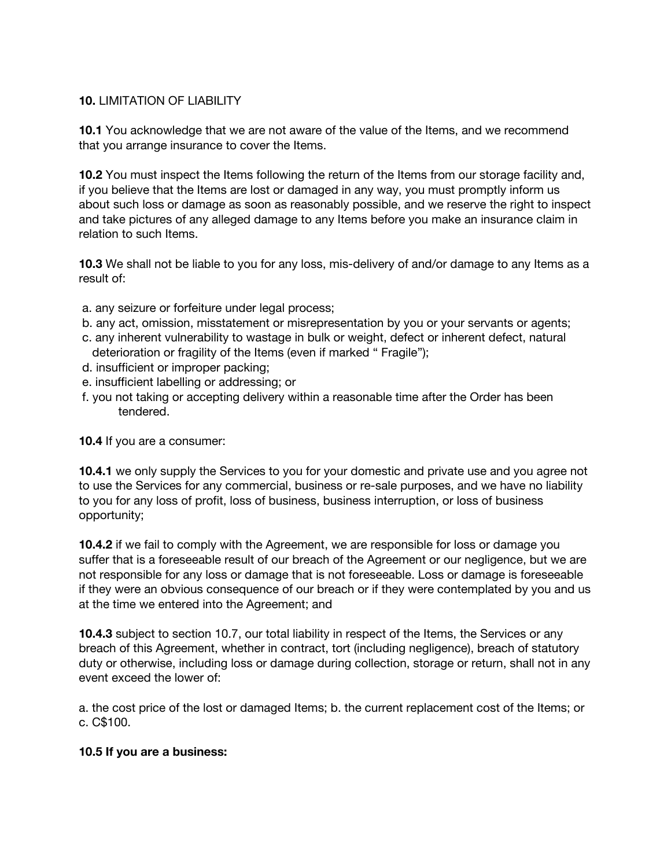### **10.** LIMITATION OF LIABILITY

**10.1** You acknowledge that we are not aware of the value of the Items, and we recommend that you arrange insurance to cover the Items.

**10.2** You must inspect the Items following the return of the Items from our storage facility and, if you believe that the Items are lost or damaged in any way, you must promptly inform us about such loss or damage as soon as reasonably possible, and we reserve the right to inspect and take pictures of any alleged damage to any Items before you make an insurance claim in relation to such Items.

**10.3** We shall not be liable to you for any loss, mis-delivery of and/or damage to any Items as a result of:

- a. any seizure or forfeiture under legal process;
- b. any act, omission, misstatement or misrepresentation by you or your servants or agents;
- c. any inherent vulnerability to wastage in bulk or weight, defect or inherent defect, natural deterioration or fragility of the Items (even if marked " Fragile");
- d. insufficient or improper packing;
- e. insufficient labelling or addressing; or
- f. you not taking or accepting delivery within a reasonable time after the Order has been tendered.

**10.4** If you are a consumer:

**10.4.1** we only supply the Services to you for your domestic and private use and you agree not to use the Services for any commercial, business or re-sale purposes, and we have no liability to you for any loss of profit, loss of business, business interruption, or loss of business opportunity;

**10.4.2** if we fail to comply with the Agreement, we are responsible for loss or damage you suffer that is a foreseeable result of our breach of the Agreement or our negligence, but we are not responsible for any loss or damage that is not foreseeable. Loss or damage is foreseeable if they were an obvious consequence of our breach or if they were contemplated by you and us at the time we entered into the Agreement; and

**10.4.3** subject to section 10.7, our total liability in respect of the Items, the Services or any breach of this Agreement, whether in contract, tort (including negligence), breach of statutory duty or otherwise, including loss or damage during collection, storage or return, shall not in any event exceed the lower of:

a. the cost price of the lost or damaged Items; b. the current replacement cost of the Items; or c. C\$100.

### **10.5 If you are a business:**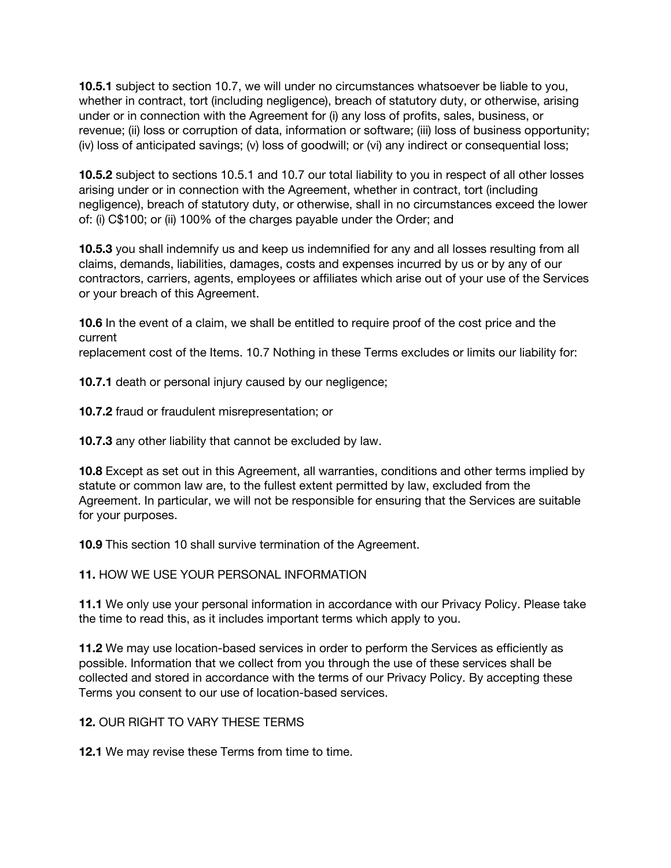**10.5.1** subject to section 10.7, we will under no circumstances whatsoever be liable to you, whether in contract, tort (including negligence), breach of statutory duty, or otherwise, arising under or in connection with the Agreement for (i) any loss of profits, sales, business, or revenue; (ii) loss or corruption of data, information or software; (iii) loss of business opportunity; (iv) loss of anticipated savings; (v) loss of goodwill; or (vi) any indirect or consequential loss;

**10.5.2** subject to sections 10.5.1 and 10.7 our total liability to you in respect of all other losses arising under or in connection with the Agreement, whether in contract, tort (including negligence), breach of statutory duty, or otherwise, shall in no circumstances exceed the lower of: (i) C\$100; or (ii) 100% of the charges payable under the Order; and

**10.5.3** you shall indemnify us and keep us indemnified for any and all losses resulting from all claims, demands, liabilities, damages, costs and expenses incurred by us or by any of our contractors, carriers, agents, employees or affiliates which arise out of your use of the Services or your breach of this Agreement.

**10.6** In the event of a claim, we shall be entitled to require proof of the cost price and the current

replacement cost of the Items. 10.7 Nothing in these Terms excludes or limits our liability for:

**10.7.1** death or personal injury caused by our negligence;

**10.7.2** fraud or fraudulent misrepresentation; or

**10.7.3** any other liability that cannot be excluded by law.

**10.8** Except as set out in this Agreement, all warranties, conditions and other terms implied by statute or common law are, to the fullest extent permitted by law, excluded from the Agreement. In particular, we will not be responsible for ensuring that the Services are suitable for your purposes.

**10.9** This section 10 shall survive termination of the Agreement.

**11.** HOW WE USE YOUR PERSONAL INFORMATION

**11.1** We only use your personal information in accordance with our Privacy Policy. Please take the time to read this, as it includes important terms which apply to you.

**11.2** We may use location-based services in order to perform the Services as efficiently as possible. Information that we collect from you through the use of these services shall be collected and stored in accordance with the terms of our Privacy Policy. By accepting these Terms you consent to our use of location-based services.

**12.** OUR RIGHT TO VARY THESE TERMS

**12.1** We may revise these Terms from time to time.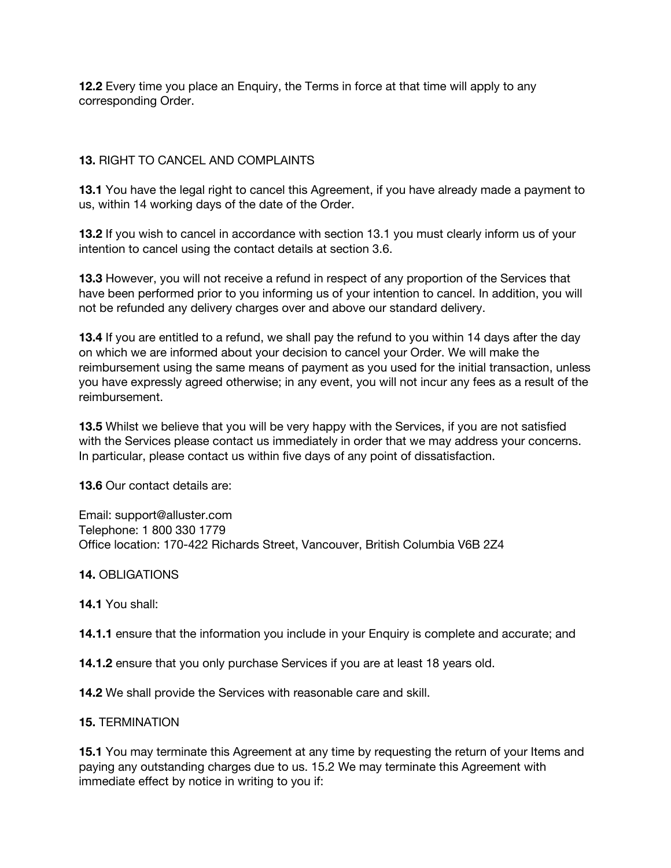**12.2** Every time you place an Enquiry, the Terms in force at that time will apply to any corresponding Order.

## **13.** RIGHT TO CANCEL AND COMPLAINTS

**13.1** You have the legal right to cancel this Agreement, if you have already made a payment to us, within 14 working days of the date of the Order.

**13.2** If you wish to cancel in accordance with section 13.1 you must clearly inform us of your intention to cancel using the contact details at section 3.6.

**13.3** However, you will not receive a refund in respect of any proportion of the Services that have been performed prior to you informing us of your intention to cancel. In addition, you will not be refunded any delivery charges over and above our standard delivery.

**13.4** If you are entitled to a refund, we shall pay the refund to you within 14 days after the day on which we are informed about your decision to cancel your Order. We will make the reimbursement using the same means of payment as you used for the initial transaction, unless you have expressly agreed otherwise; in any event, you will not incur any fees as a result of the reimbursement.

**13.5** Whilst we believe that you will be very happy with the Services, if you are not satisfied with the Services please contact us immediately in order that we may address your concerns. In particular, please contact us within five days of any point of dissatisfaction.

**13.6** Our contact details are:

Email: support@alluster.com Telephone: 1 800 330 1779 Office location: 170-422 Richards Street, Vancouver, British Columbia V6B 2Z4

**14.** OBLIGATIONS

**14.1** You shall:

**14.1.1** ensure that the information you include in your Enquiry is complete and accurate; and

**14.1.2** ensure that you only purchase Services if you are at least 18 years old.

**14.2** We shall provide the Services with reasonable care and skill.

#### **15.** TERMINATION

**15.1** You may terminate this Agreement at any time by requesting the return of your Items and paying any outstanding charges due to us. 15.2 We may terminate this Agreement with immediate effect by notice in writing to you if: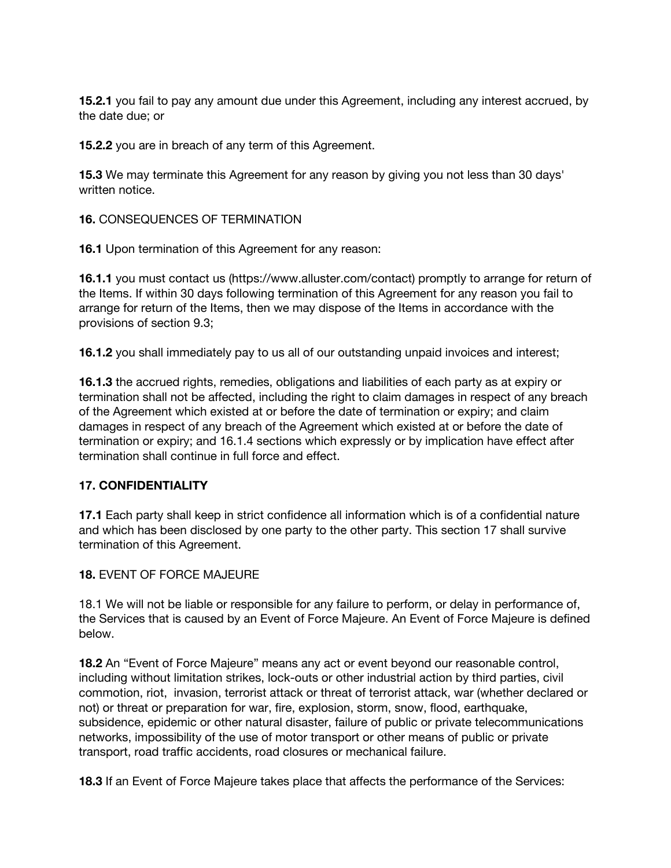**15.2.1** you fail to pay any amount due under this Agreement, including any interest accrued, by the date due; or

**15.2.2** you are in breach of any term of this Agreement.

**15.3** We may terminate this Agreement for any reason by giving you not less than 30 days' written notice.

**16.** CONSEQUENCES OF TERMINATION

**16.1** Upon termination of this Agreement for any reason:

**16.1.1** you must contact us (https://www.alluster.com/contact) promptly to arrange for return of the Items. If within 30 days following termination of this Agreement for any reason you fail to arrange for return of the Items, then we may dispose of the Items in accordance with the provisions of section 9.3;

**16.1.2** you shall immediately pay to us all of our outstanding unpaid invoices and interest;

**16.1.3** the accrued rights, remedies, obligations and liabilities of each party as at expiry or termination shall not be affected, including the right to claim damages in respect of any breach of the Agreement which existed at or before the date of termination or expiry; and claim damages in respect of any breach of the Agreement which existed at or before the date of termination or expiry; and 16.1.4 sections which expressly or by implication have effect after termination shall continue in full force and effect.

# **17. CONFIDENTIALITY**

**17.1** Each party shall keep in strict confidence all information which is of a confidential nature and which has been disclosed by one party to the other party. This section 17 shall survive termination of this Agreement.

### **18.** EVENT OF FORCE MAJEURE

18.1 We will not be liable or responsible for any failure to perform, or delay in performance of, the Services that is caused by an Event of Force Majeure. An Event of Force Majeure is defined below.

**18.2** An "Event of Force Majeure" means any act or event beyond our reasonable control, including without limitation strikes, lock-outs or other industrial action by third parties, civil commotion, riot, invasion, terrorist attack or threat of terrorist attack, war (whether declared or not) or threat or preparation for war, fire, explosion, storm, snow, flood, earthquake, subsidence, epidemic or other natural disaster, failure of public or private telecommunications networks, impossibility of the use of motor transport or other means of public or private transport, road traffic accidents, road closures or mechanical failure.

**18.3** If an Event of Force Majeure takes place that affects the performance of the Services: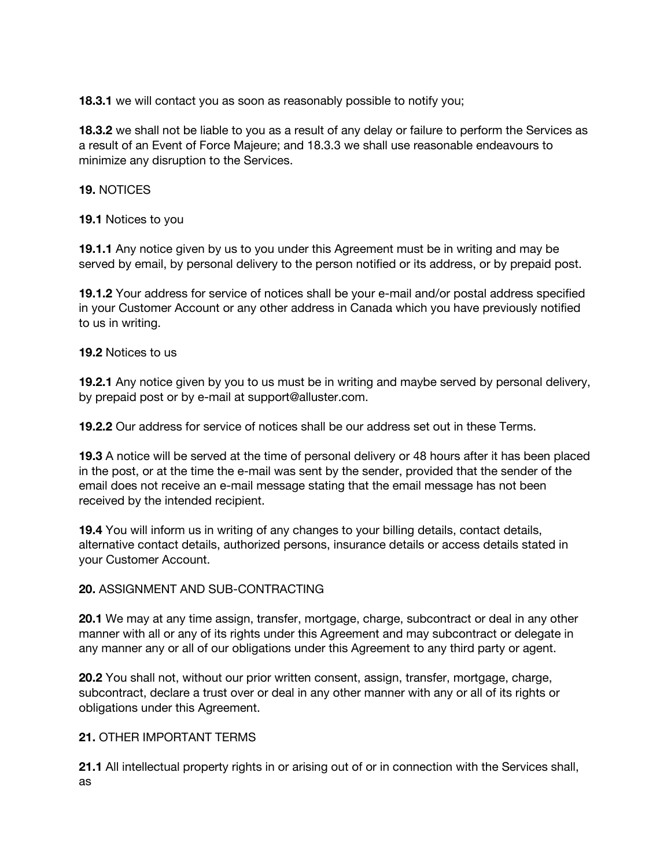**18.3.1** we will contact you as soon as reasonably possible to notify you;

**18.3.2** we shall not be liable to you as a result of any delay or failure to perform the Services as a result of an Event of Force Majeure; and 18.3.3 we shall use reasonable endeavours to minimize any disruption to the Services.

### **19.** NOTICES

**19.1** Notices to you

**19.1.1** Any notice given by us to you under this Agreement must be in writing and may be served by email, by personal delivery to the person notified or its address, or by prepaid post.

**19.1.2** Your address for service of notices shall be your e-mail and/or postal address specified in your Customer Account or any other address in Canada which you have previously notified to us in writing.

### **19.2** Notices to us

**19.2.1** Any notice given by you to us must be in writing and maybe served by personal delivery, by prepaid post or by e-mail at support@alluster.com.

**19.2.2** Our address for service of notices shall be our address set out in these Terms.

**19.3** A notice will be served at the time of personal delivery or 48 hours after it has been placed in the post, or at the time the e-mail was sent by the sender, provided that the sender of the email does not receive an e-mail message stating that the email message has not been received by the intended recipient.

**19.4** You will inform us in writing of any changes to your billing details, contact details, alternative contact details, authorized persons, insurance details or access details stated in your Customer Account.

### **20.** ASSIGNMENT AND SUB-CONTRACTING

**20.1** We may at any time assign, transfer, mortgage, charge, subcontract or deal in any other manner with all or any of its rights under this Agreement and may subcontract or delegate in any manner any or all of our obligations under this Agreement to any third party or agent.

**20.2** You shall not, without our prior written consent, assign, transfer, mortgage, charge, subcontract, declare a trust over or deal in any other manner with any or all of its rights or obligations under this Agreement.

### **21.** OTHER IMPORTANT TERMS

**21.1** All intellectual property rights in or arising out of or in connection with the Services shall, as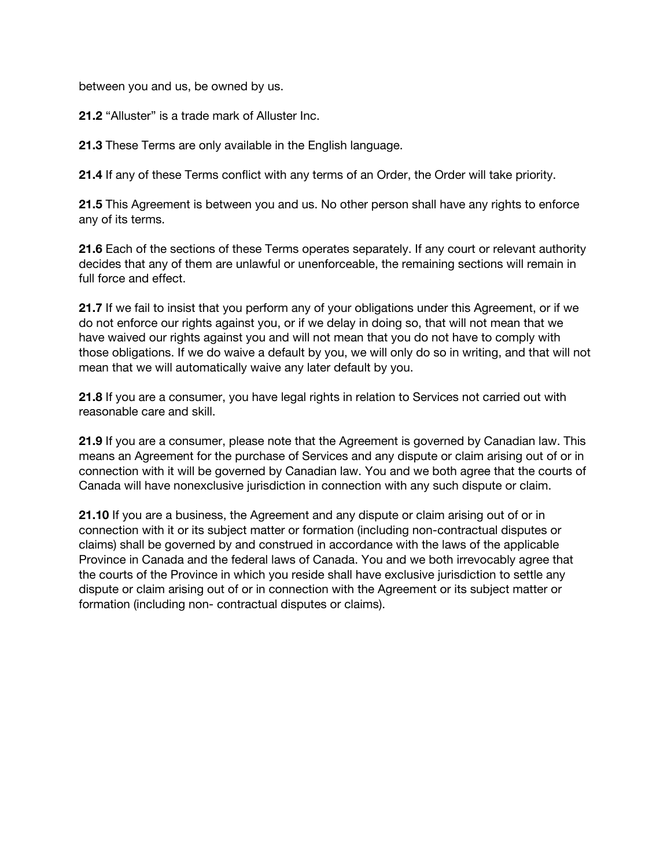between you and us, be owned by us.

**21.2** "Alluster" is a trade mark of Alluster Inc.

**21.3** These Terms are only available in the English language.

**21.4** If any of these Terms conflict with any terms of an Order, the Order will take priority.

**21.5** This Agreement is between you and us. No other person shall have any rights to enforce any of its terms.

**21.6** Each of the sections of these Terms operates separately. If any court or relevant authority decides that any of them are unlawful or unenforceable, the remaining sections will remain in full force and effect.

**21.7** If we fail to insist that you perform any of your obligations under this Agreement, or if we do not enforce our rights against you, or if we delay in doing so, that will not mean that we have waived our rights against you and will not mean that you do not have to comply with those obligations. If we do waive a default by you, we will only do so in writing, and that will not mean that we will automatically waive any later default by you.

**21.8** If you are a consumer, you have legal rights in relation to Services not carried out with reasonable care and skill.

**21.9** If you are a consumer, please note that the Agreement is governed by Canadian law. This means an Agreement for the purchase of Services and any dispute or claim arising out of or in connection with it will be governed by Canadian law. You and we both agree that the courts of Canada will have nonexclusive jurisdiction in connection with any such dispute or claim.

**21.10** If you are a business, the Agreement and any dispute or claim arising out of or in connection with it or its subject matter or formation (including non-contractual disputes or claims) shall be governed by and construed in accordance with the laws of the applicable Province in Canada and the federal laws of Canada. You and we both irrevocably agree that the courts of the Province in which you reside shall have exclusive jurisdiction to settle any dispute or claim arising out of or in connection with the Agreement or its subject matter or formation (including non- contractual disputes or claims).